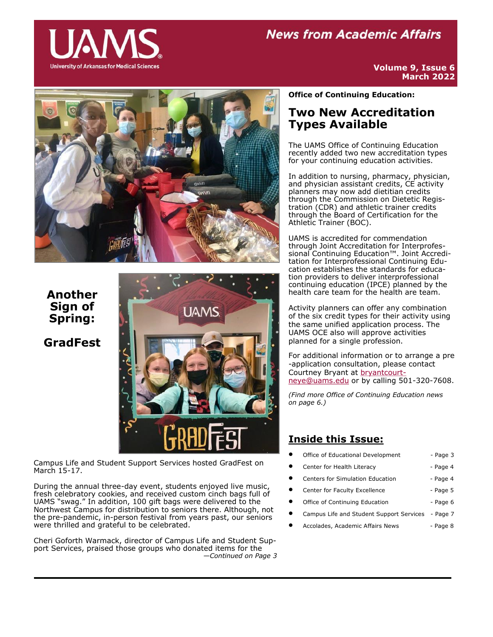# **News from Academic Affairs**



**Another Sign of Spring:** 

**GradFest**

### **Volume 9, Issue 6 March 2022**



Campus Life and Student Support Services hosted GradFest on March 15-17.

During the annual three-day event, students enjoyed live music, fresh celebratory cookies, and received custom cinch bags full of UAMS "swag." In addition, 100 gift bags were delivered to the Northwest Campus for distribution to seniors there. Although, not the pre-pandemic, in-person festival from years past, our seniors were thrilled and grateful to be celebrated.

Cheri Goforth Warmack, director of Campus Life and Student Support Services, praised those groups who donated items for the *—Continued on Page 3* **Office of Continuing Education:** 

# **Two New Accreditation Types Available**

The UAMS Office of Continuing Education recently added two new accreditation types for your continuing education activities.

In addition to nursing, pharmacy, physician, and physician assistant credits, CE activity planners may now add dietitian credits through the Commission on Dietetic Registration (CDR) and athletic trainer credits through the Board of Certification for the Athletic Trainer (BOC).

UAMS is accredited for commendation through Joint Accreditation for Interprofessional Continuing Education™. Joint Accreditation for Interprofessional Continuing Education establishes the standards for education providers to deliver interprofessional continuing education (IPCE) planned by the health care team for the health are team.

Activity planners can offer any combination of the six credit types for their activity using the same unified application process. The UAMS OCE also will approve activities planned for a single profession.

For additional information or to arrange a pre -application consultation, please contact Courtney Bryant at **[bryantcourt](mailto:bryantcourtneye@uams.edu)**[neye@uams.edu](mailto:bryantcourtneye@uams.edu) or by calling 501-320-7608.

*(Find more Office of Continuing Education news on page 6.)*

# **Inside this Issue:**

|   | Office of Educational Development        | - Page 3 |
|---|------------------------------------------|----------|
|   | Center for Health Literacy               | - Page 4 |
|   | <b>Centers for Simulation Education</b>  | - Page 4 |
|   | Center for Faculty Excellence            | - Page 5 |
| 0 | Office of Continuing Education           | - Page 6 |
|   | Campus Life and Student Support Services | - Page 7 |
|   | Accolades, Academic Affairs News         | - Page 8 |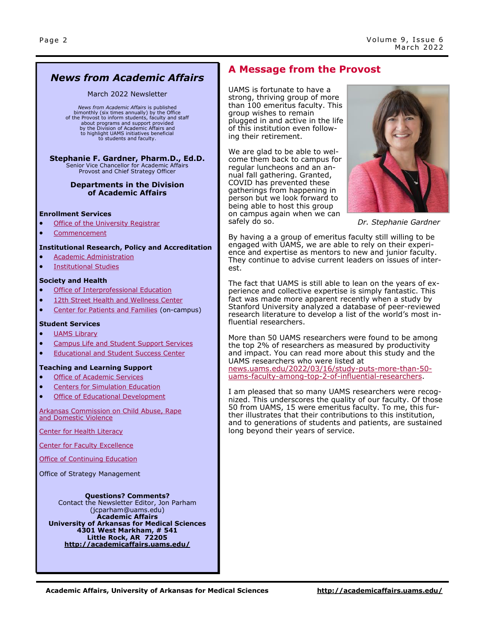# *News from Academic Affairs*

#### March 2022 Newsletter

*News from Academic Affairs* is published bimonthly (six times annually) by the Office of the Provost to inform students, faculty and staff about programs and support provided by the Division of Academic Affairs and to highlight UAMS initiatives beneficial to students and faculty.

# **Stephanie F. Gardner, Pharm.D., Ed.D.**<br>Senior Vice Chancellor for Academic Affairs

Provost and Chief Strategy Officer

#### **Departments in the Division of Academic Affairs**

#### **Enrollment Services**

- [Office of the University Registrar](http://registrar.uams.edu)
- [Commencement](http://commencement.uams.edu/)

#### **Institutional Research, Policy and Accreditation**

- [Academic Administration](http://academicaffairs.uams.edu/departments/esaa/)
- [Institutional Studies](http://academicaffairs.uams.edu/academic-support-and-services/institutional-studies/office-of-institutional-studies/)

#### **Society and Health**

- [Office of Interprofessional Education](http://ipe.uams.edu/)
- [12th Street Health and Wellness Center](http://healthon12th.uams.edu/)
- [Center for Patients and Families](http://inside.uams.edu/pfcc/) (on-campus)

#### **Student Services**

- [UAMS Library](http://library.uams.edu/)
- [Campus Life and Student Support Services](http://studentlife.uams.edu/)
- [Educational and Student Success Center](https://studentsuccess.uams.edu/)

#### **Teaching and Learning Support**

- [Office of Academic Services](http://oas.uams.edu/)
- [Centers for Simulation Education](http://medicalsim.uams.edu/)
- [Office of Educational Development](http://www.uams.edu/oed/)

[Arkansas Commission on Child Abuse, Rape](http://accardv.uams.edu/)  [and Domestic Violence](http://accardv.uams.edu/)

[Center for Health Literacy](http://healthliteracy.uams.edu/)

[Center for Faculty Excellence](https://faculty.uams.edu/)

[Office of Continuing Education](https://ce.uams.edu/?_ga=2.147633022.877535657.1552308613-1212331186.1541086923)

Office of Strategy Management

#### **Questions? Comments?**

Contact the Newsletter Editor, Jon Parham [\(jcparham@uams.edu\)](mailto:jdelavan@uams.edu) **Academic Affairs University of Arkansas for Medical Sciences 4301 West Markham, # 541 Little Rock, AR 72205 <http://academicaffairs.uams.edu/>**

# **A Message from the Provost**

UAMS is fortunate to have a strong, thriving group of more than 100 emeritus faculty. This group wishes to remain plugged in and active in the life of this institution even following their retirement.

We are glad to be able to welcome them back to campus for regular luncheons and an annual fall gathering. Granted, COVID has prevented these gatherings from happening in person but we look forward to being able to host this group on campus again when we can safely do so.



*Dr. Stephanie Gardner*

By having a a group of emeritus faculty still willing to be engaged with UAMS, we are able to rely on their experience and expertise as mentors to new and junior faculty. They continue to advise current leaders on issues of interest.

The fact that UAMS is still able to lean on the years of experience and collective expertise is simply fantastic. This fact was made more apparent recently when a study by Stanford University analyzed a database of peer-reviewed research literature to develop a list of the world's most influential researchers.

More than 50 UAMS researchers were found to be among the top 2% of researchers as measured by productivity and impact. You can read more about this study and the UAMS researchers who were listed at [news.uams.edu/2022/03/16/study](https://news.uams.edu/2022/03/16/study-puts-more-than-50-uams-faculty-among-top-2-of-influential-researchers/)-puts-more-than-50 uams-faculty-among-top-2-of-influential-[researchers.](https://news.uams.edu/2022/03/16/study-puts-more-than-50-uams-faculty-among-top-2-of-influential-researchers/)

I am pleased that so many UAMS researchers were recognized. This underscores the quality of our faculty. Of those 50 from UAMS, 15 were emeritus faculty. To me, this further illustrates that their contributions to this institution, and to generations of students and patients, are sustained long beyond their years of service.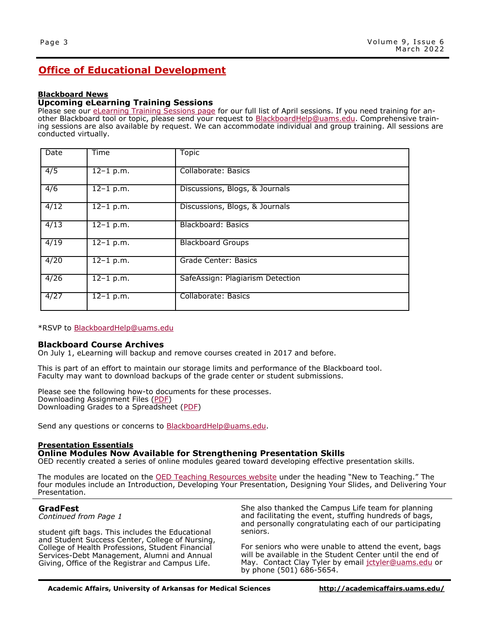# **Office of Educational Development**

### **Blackboard News**

### **Upcoming eLearning Training Sessions**

Please see our elearning Training Sessions page for our full list of April sessions. If you need training for another Blackboard tool or topic, please send your request to [BlackboardHelp@uams.edu.](mailto:BlackboardHelp@uams.edu) Comprehensive training sessions are also available by request. We can accommodate individual and group training. All sessions are conducted virtually.

| Date | Time                     | <b>Topic</b>                     |
|------|--------------------------|----------------------------------|
| 4/5  | $12-1$ p.m.              | Collaborate: Basics              |
| 4/6  | $\frac{12-1}{2}$ p.m.    | Discussions, Blogs, & Journals   |
| 4/12 | $\overline{12} - 1$ p.m. | Discussions, Blogs, & Journals   |
| 4/13 | $12-1$ p.m.              | Blackboard: Basics               |
| 4/19 | $12 - 1$ p.m.            | <b>Blackboard Groups</b>         |
| 4/20 | $12 - 1 p.m.$            | Grade Center: Basics             |
| 4/26 | $12-1$ p.m.              | SafeAssign: Plagiarism Detection |
| 4/27 | $\frac{12-1}{2}$ p.m.    | Collaborate: Basics              |

\*RSVP to [BlackboardHelp@uams.edu](mailto:BlackboardHelp@uams.edu)

### **Blackboard Course Archives**

On July 1, eLearning will backup and remove courses created in 2017 and before.

This is part of an effort to maintain our storage limits and performance of the Blackboard tool. Faculty may want to download backups of the grade center or student submissions.

Please see the following how-to documents for these processes. Downloading Assignment Files ([PDF\)](https://educationaldevelopment.uams.edu/wp-content/uploads/sites/125/2021/01/SBS_Downloading_Assignment_Files.pdf) Downloading Grades to a Spreadsheet [\(PDF\)](https://educationaldevelopment.uams.edu/wp-content/uploads/sites/125/2021/01/SBS_Downloading_Grades_to_a_Spreadsheet.pdf)

Send any questions or concerns to **BlackboardHelp@uams.edu.** 

#### **Presentation Essentials**

**Online Modules Now Available for Strengthening Presentation Skills**

OED recently created a series of online modules geared toward developing effective presentation skills.

The modules are located on the [OED Teaching Resources website](https://educationaldevelopment.uams.edu/trh/ntt/) under the heading "New to Teaching." The four modules include an Introduction, Developing Your Presentation, Designing Your Slides, and Delivering Your Presentation.

### **GradFest**

*Continued from Page 1*

student gift bags. This includes the Educational and Student Success Center, College of Nursing, College of Health Professions, Student Financial Services-Debt Management, Alumni and Annual Giving, Office of the Registrar and Campus Life.

She also thanked the Campus Life team for planning and facilitating the event, stuffing hundreds of bags, and personally congratulating each of our participating seniors.

For seniors who were unable to attend the event, bags will be available in the Student Center until the end of May. Contact Clay Tyler by email [jctyler@uams.edu](mailto:jctyler@uams.edu) or by phone (501) 686-5654.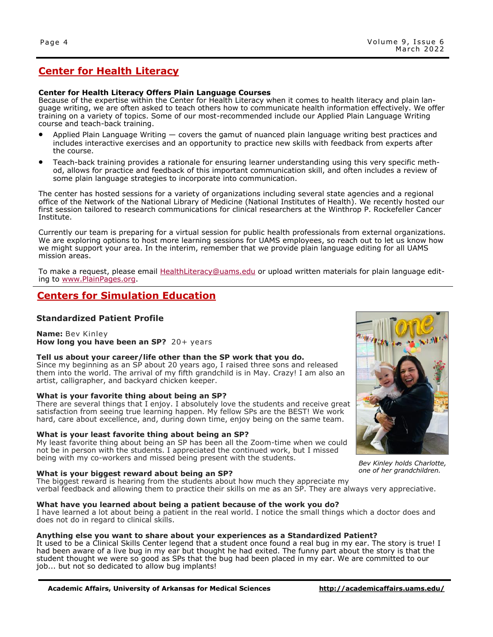To make a request, please email [HealthLiteracy@uams.edu](mailto:HealthLiteracy@uams.edu) or upload written materials for plain language editing to [www.PlainPages.org.](http://www.PlainPages.org) 

Currently our team is preparing for a virtual session for public health professionals from external organizations. We are exploring options to host more learning sessions for UAMS employees, so reach out to let us know how we might support your area. In the interim, remember that we provide plain language editing for all UAMS

# **Centers for Simulation Education**

#### **Standardized Patient Profile**

**Name:** Bev Kinley **How long you have been an SP?** 20+ years

#### **Tell us about your career/life other than the SP work that you do.**

Since my beginning as an SP about 20 years ago, I raised three sons and released them into the world. The arrival of my fifth grandchild is in May. Crazy! I am also an artist, calligrapher, and backyard chicken keeper.

#### **What is your favorite thing about being an SP?**

There are several things that I enjoy. I absolutely love the students and receive great satisfaction from seeing true learning happen. My fellow SPs are the BEST! We work hard, care about excellence, and, during down time, enjoy being on the same team.

#### **What is your least favorite thing about being an SP?**

My least favorite thing about being an SP has been all the Zoom-time when we could not be in person with the students. I appreciated the continued work, but I missed being with my co-workers and missed being present with the students.

#### **What is your biggest reward about being an SP?**

The biggest reward is hearing from the students about how much they appreciate my verbal feedback and allowing them to practice their skills on me as an SP. They are always very appreciative.

#### **What have you learned about being a patient because of the work you do?**

I have learned a lot about being a patient in the real world. I notice the small things which a doctor does and does not do in regard to clinical skills.

#### **Anything else you want to share about your experiences as a Standardized Patient?**

It used to be a Clinical Skills Center legend that a student once found a real bug in my ear. The story is true! I had been aware of a live bug in my ear but thought he had exited. The funny part about the story is that the student thought we were so good as SPs that the bug had been placed in my ear. We are committed to our job... but not so dedicated to allow bug implants!



*Bev Kinley holds Charlotte, one of her grandchildren.*

the course.

Institute.

mission areas.

# **Center for Health Literacy**

### **Center for Health Literacy Offers Plain Language Courses**

some plain language strategies to incorporate into communication.

Because of the expertise within the Center for Health Literacy when it comes to health literacy and plain language writing, we are often asked to teach others how to communicate health information effectively. We offer training on a variety of topics. Some of our most-recommended include our Applied Plain Language Writing course and teach-back training.

 Applied Plain Language Writing — covers the gamut of nuanced plain language writing best practices and includes interactive exercises and an opportunity to practice new skills with feedback from experts after

 Teach-back training provides a rationale for ensuring learner understanding using this very specific method, allows for practice and feedback of this important communication skill, and often includes a review of

The center has hosted sessions for a variety of organizations including several state agencies and a regional office of the Network of the National Library of Medicine (National Institutes of Health). We recently hosted our first session tailored to research communications for clinical researchers at the Winthrop P. Rockefeller Cancer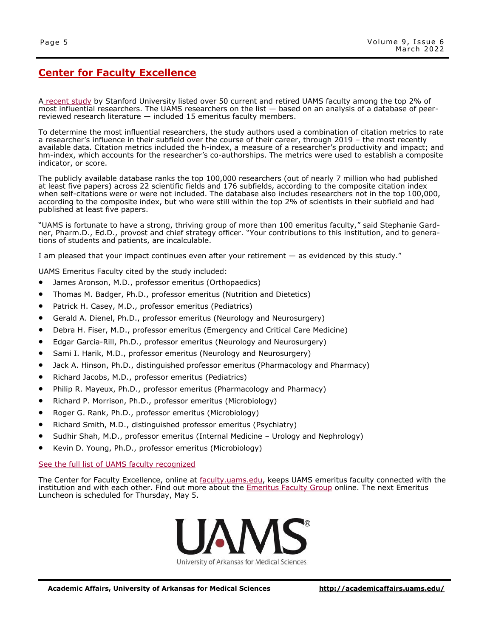# **Center for Faculty Excellence**

A [recent study](https://journals.plos.org/plosbiology/article?id=10.1371/journal.pbio.3000918) by Stanford University listed over 50 current and retired UAMS faculty among the top 2% of most influential researchers. The UAMS researchers on the list — based on an analysis of a database of peerreviewed research literature — included 15 emeritus faculty members.

To determine the most influential researchers, the study authors used a combination of citation metrics to rate a researcher's influence in their subfield over the course of their career, through 2019 – the most recently available data. Citation metrics included the h-index, a measure of a researcher's productivity and impact; and hm-index, which accounts for the researcher's co-authorships. The metrics were used to establish a composite indicator, or score.

The publicly available database ranks the top 100,000 researchers (out of nearly 7 million who had published at least five papers) across 22 scientific fields and 176 subfields, according to the composite citation index when self-citations were or were not included. The database also includes researchers not in the top 100,000, according to the composite index, but who were still within the top 2% of scientists in their subfield and had published at least five papers.

"UAMS is fortunate to have a strong, thriving group of more than 100 emeritus faculty," said Stephanie Gardner, Pharm.D., Ed.D., provost and chief strategy officer. "Your contributions to this institution, and to generations of students and patients, are incalculable.

I am pleased that your impact continues even after your retirement — as evidenced by this study."

UAMS Emeritus Faculty cited by the study included:

- James Aronson, M.D., professor emeritus (Orthopaedics)
- Thomas M. Badger, Ph.D., professor emeritus (Nutrition and Dietetics)
- Patrick H. Casey, M.D., professor emeritus (Pediatrics)
- Gerald A. Dienel, Ph.D., professor emeritus (Neurology and Neurosurgery)
- Debra H. Fiser, M.D., professor emeritus (Emergency and Critical Care Medicine)
- Edgar Garcia-Rill, Ph.D., professor emeritus (Neurology and Neurosurgery)
- Sami I. Harik, M.D., professor emeritus (Neurology and Neurosurgery)
- Jack A. Hinson, Ph.D., distinguished professor emeritus (Pharmacology and Pharmacy)
- Richard Jacobs, M.D., professor emeritus (Pediatrics)
- Philip R. Mayeux, Ph.D., professor emeritus (Pharmacology and Pharmacy)
- Richard P. Morrison, Ph.D., professor emeritus (Microbiology)
- Roger G. Rank, Ph.D., professor emeritus (Microbiology)
- Richard Smith, M.D., distinguished professor emeritus (Psychiatry)
- Sudhir Shah, M.D., professor emeritus (Internal Medicine Urology and Nephrology)
- Kevin D. Young, Ph.D., professor emeritus (Microbiology)

#### [See the full list of UAMS faculty recognized](https://news.uams.edu/2022/03/16/study-puts-more-than-50-uams-faculty-among-top-2-of-influential-researchers/)

The Center for Faculty Excellence, online at [faculty.uams.edu,](https://faculty.uams.edu) keeps UAMS emeritus faculty connected with the institution and with each other. Find out more about the **Emeritus Faculty Group online**. The next Emeritus Luncheon is scheduled for Thursday, May 5.

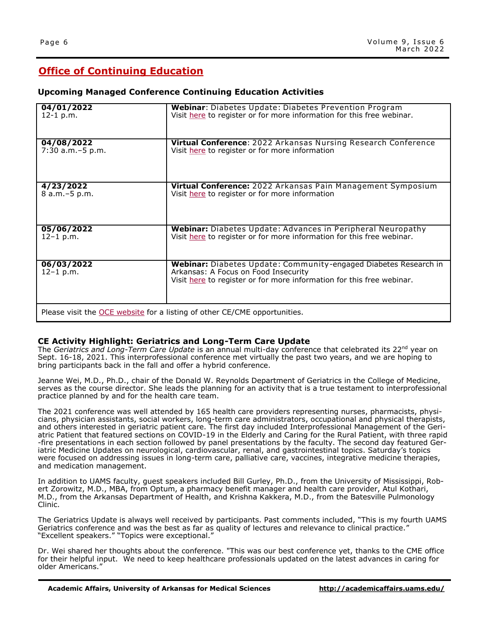# **Office of Continuing Education**

## **Upcoming Managed Conference Continuing Education Activities**

| 04/01/2022                                                                | Webinar: Diabetes Update: Diabetes Prevention Program                 |  |  |
|---------------------------------------------------------------------------|-----------------------------------------------------------------------|--|--|
| $12-1$ p.m.                                                               | Visit here to register or for more information for this free webinar. |  |  |
|                                                                           |                                                                       |  |  |
|                                                                           |                                                                       |  |  |
|                                                                           |                                                                       |  |  |
| 04/08/2022                                                                |                                                                       |  |  |
|                                                                           | <b>Virtual Conference:</b> 2022 Arkansas Nursing Research Conference  |  |  |
| $7:30$ a.m. $-5$ p.m.                                                     | Visit here to register or for more information                        |  |  |
|                                                                           |                                                                       |  |  |
|                                                                           |                                                                       |  |  |
|                                                                           |                                                                       |  |  |
|                                                                           |                                                                       |  |  |
| 4/23/2022                                                                 | <b>Virtual Conference:</b> 2022 Arkansas Pain Management Symposium    |  |  |
| 8 a.m. - 5 p.m.                                                           | Visit here to register or for more information                        |  |  |
|                                                                           |                                                                       |  |  |
|                                                                           |                                                                       |  |  |
|                                                                           |                                                                       |  |  |
|                                                                           |                                                                       |  |  |
| 05/06/2022                                                                | Webinar: Diabetes Update: Advances in Peripheral Neuropathy           |  |  |
|                                                                           |                                                                       |  |  |
| $12-1$ p.m.                                                               | Visit here to register or for more information for this free webinar. |  |  |
|                                                                           |                                                                       |  |  |
|                                                                           |                                                                       |  |  |
|                                                                           |                                                                       |  |  |
| 06/03/2022                                                                | Webinar: Diabetes Update: Community-engaged Diabetes Research in      |  |  |
| $12-1$ p.m.                                                               | Arkansas: A Focus on Food Insecurity                                  |  |  |
|                                                                           | Visit here to register or for more information for this free webinar. |  |  |
|                                                                           |                                                                       |  |  |
|                                                                           |                                                                       |  |  |
|                                                                           |                                                                       |  |  |
|                                                                           |                                                                       |  |  |
| Please visit the OCE website for a listing of other CE/CME opportunities. |                                                                       |  |  |

### **CE Activity Highlight: Geriatrics and Long-Term Care Update**

The *Geriatrics and Long-Term Care Update* is an annual multi-day conference that celebrated its 22nd year on Sept. 16-18, 2021. This interprofessional conference met virtually the past two years, and we are hoping to bring participants back in the fall and offer a hybrid conference.

Jeanne Wei, M.D., Ph.D., chair of the Donald W. Reynolds Department of Geriatrics in the College of Medicine, serves as the course director. She leads the planning for an activity that is a true testament to interprofessional practice planned by and for the health care team.

The 2021 conference was well attended by 165 health care providers representing nurses, pharmacists, physicians, physician assistants, social workers, long-term care administrators, occupational and physical therapists, and others interested in geriatric patient care. The first day included Interprofessional Management of the Geriatric Patient that featured sections on COVID-19 in the Elderly and Caring for the Rural Patient, with three rapid -fire presentations in each section followed by panel presentations by the faculty. The second day featured Geriatric Medicine Updates on neurological, cardiovascular, renal, and gastrointestinal topics. Saturday's topics were focused on addressing issues in long-term care, palliative care, vaccines, integrative medicine therapies, and medication management.

In addition to UAMS faculty, guest speakers included Bill Gurley, Ph.D., from the University of Mississippi, Robert Zorowitz, M.D., MBA, from Optum, a pharmacy benefit manager and health care provider, Atul Kothari, M.D., from the Arkansas Department of Health, and Krishna Kakkera, M.D., from the Batesville Pulmonology Clinic.

The Geriatrics Update is always well received by participants. Past comments included, "This is my fourth UAMS Geriatrics conference and was the best as far as quality of lectures and relevance to clinical practice." "Excellent speakers." "Topics were exceptional."

Dr. Wei shared her thoughts about the conference. "This was our best conference yet, thanks to the CME office for their helpful input. We need to keep healthcare professionals updated on the latest advances in caring for older Americans."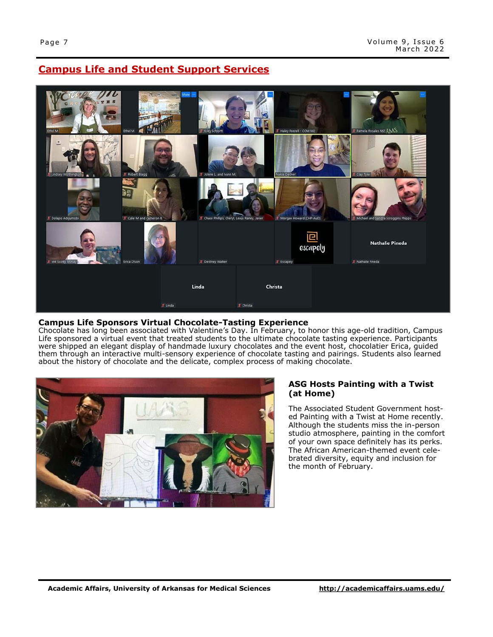# **Campus Life and Student Support Services**



### **Campus Life Sponsors Virtual Chocolate-Tasting Experience**

Chocolate has long been associated with Valentine's Day. In February, to honor this age-old tradition, Campus Life sponsored a virtual event that treated students to the ultimate chocolate tasting experience. Participants were shipped an elegant display of handmade luxury chocolates and the event host, chocolatier Erica, guided them through an interactive multi-sensory experience of chocolate tasting and pairings. Students also learned about the history of chocolate and the delicate, complex process of making chocolate.



### **ASG Hosts Painting with a Twist (at Home)**

The Associated Student Government hosted Painting with a Twist at Home recently. Although the students miss the in-person studio atmosphere, painting in the comfort of your own space definitely has its perks. The African American-themed event celebrated diversity, equity and inclusion for the month of February.